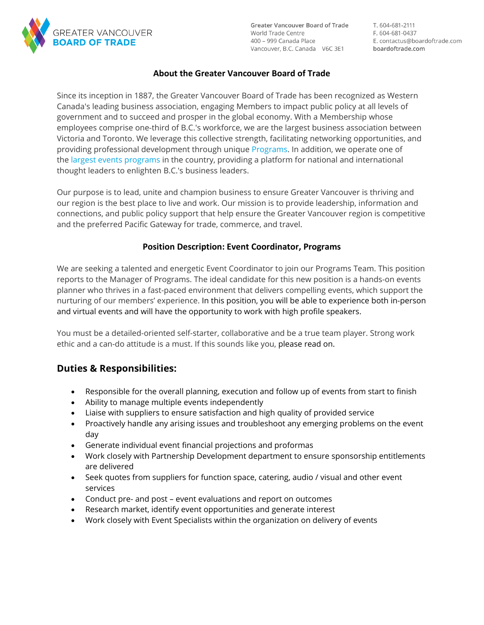

**Greater Vancouver Board of Trade** World Trade Centre 400 – 999 Canada Place Vancouver, B.C. Canada V6C 3E1 T. 604-681-2111 F. 604-681-0437 E. contactus@boardoftrade.com boardoftrade.com

## **About the Greater Vancouver Board of Trade**

Since its inception in 1887, the Greater Vancouver Board of Trade has been recognized as Western Canada's leading business association, engaging Members to impact public policy at all levels of government and to succeed and prosper in the global economy. With a Membership whose employees comprise one-third of B.C.'s workforce, we are the largest business association between Victoria and Toronto. We leverage this collective strength, facilitating networking opportunities, and providing professional development through unique [Programs.](https://www.boardoftrade.com/programs) In addition, we operate one of the [largest events programs](https://www.boardoftrade.com/events) in the country, providing a platform for national and international thought leaders to enlighten B.C.'s business leaders.

Our purpose is to lead, unite and champion business to ensure Greater Vancouver is thriving and our region is the best place to live and work. Our mission is to provide leadership, information and connections, and public policy support that help ensure the Greater Vancouver region is competitive and the preferred Pacific Gateway for trade, commerce, and travel.

### **Position Description: Event Coordinator, Programs**

We are seeking a talented and energetic Event Coordinator to join our Programs Team. This position reports to the Manager of Programs. The ideal candidate for this new position is a hands-on events planner who thrives in a fast-paced environment that delivers compelling events, which support the nurturing of our members' experience. In this position, you will be able to experience both in-person and virtual events and will have the opportunity to work with high profile speakers.

You must be a detailed-oriented self-starter, collaborative and be a true team player. Strong work ethic and a can-do attitude is a must. If this sounds like you, please read on.

## **Duties & Responsibilities:**

- Responsible for the overall planning, execution and follow up of events from start to finish
- Ability to manage multiple events independently
- Liaise with suppliers to ensure satisfaction and high quality of provided service
- Proactively handle any arising issues and troubleshoot any emerging problems on the event day
- Generate individual event financial projections and proformas
- Work closely with Partnership Development department to ensure sponsorship entitlements are delivered
- Seek quotes from suppliers for function space, catering, audio / visual and other event services
- Conduct pre- and post event evaluations and report on outcomes
- Research market, identify event opportunities and generate interest
- Work closely with Event Specialists within the organization on delivery of events